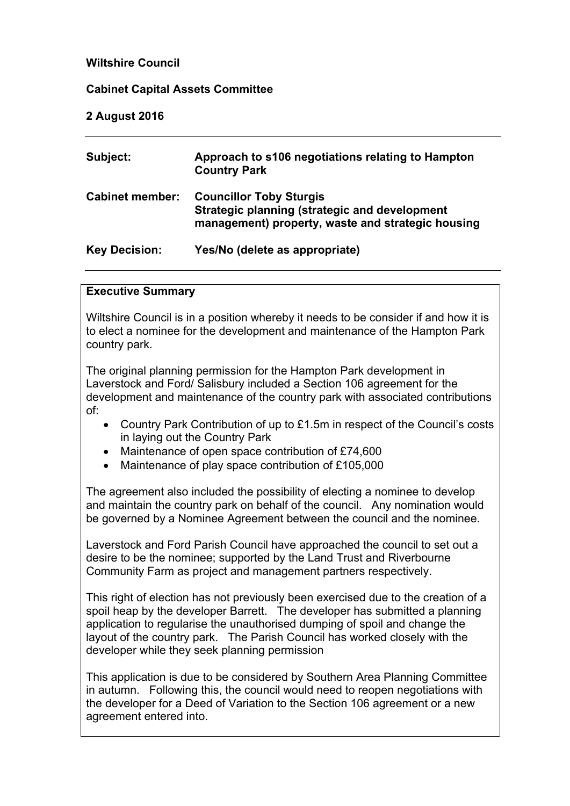# **Wiltshire Council**

## **Cabinet Capital Assets Committee**

### **2 August 2016**

| Subject:               | Approach to s106 negotiations relating to Hampton<br><b>Country Park</b>                                                             |
|------------------------|--------------------------------------------------------------------------------------------------------------------------------------|
| <b>Cabinet member:</b> | <b>Councillor Toby Sturgis</b><br>Strategic planning (strategic and development<br>management) property, waste and strategic housing |
| <b>Key Decision:</b>   | Yes/No (delete as appropriate)                                                                                                       |

## **Executive Summary**

Wiltshire Council is in a position whereby it needs to be consider if and how it is to elect a nominee for the development and maintenance of the Hampton Park country park.

The original planning permission for the Hampton Park development in Laverstock and Ford/ Salisbury included a Section 106 agreement for the development and maintenance of the country park with associated contributions of:

- Country Park Contribution of up to £1.5m in respect of the Council's costs in laying out the Country Park
- Maintenance of open space contribution of £74,600
- Maintenance of play space contribution of £105,000

The agreement also included the possibility of electing a nominee to develop and maintain the country park on behalf of the council. Any nomination would be governed by a Nominee Agreement between the council and the nominee.

Laverstock and Ford Parish Council have approached the council to set out a desire to be the nominee; supported by the Land Trust and Riverbourne Community Farm as project and management partners respectively.

This right of election has not previously been exercised due to the creation of a spoil heap by the developer Barrett. The developer has submitted a planning application to regularise the unauthorised dumping of spoil and change the layout of the country park. The Parish Council has worked closely with the developer while they seek planning permission

This application is due to be considered by Southern Area Planning Committee in autumn. Following this, the council would need to reopen negotiations with the developer for a Deed of Variation to the Section 106 agreement or a new agreement entered into.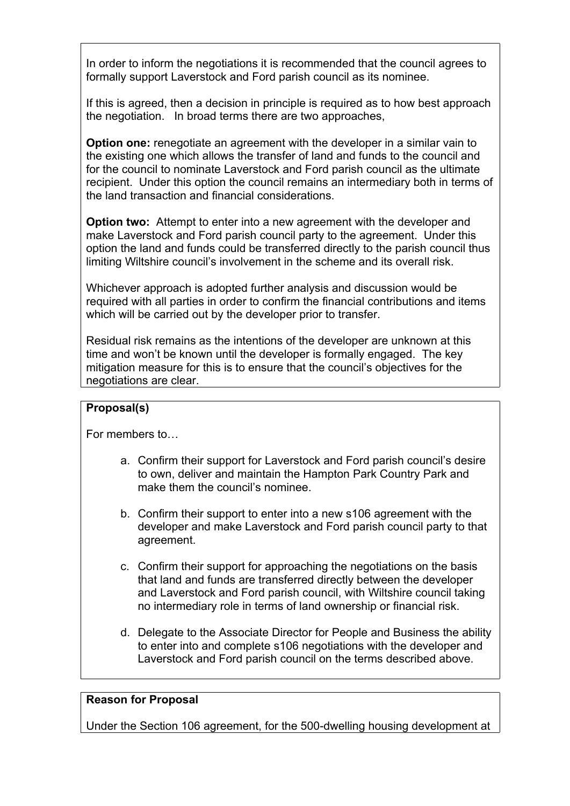In order to inform the negotiations it is recommended that the council agrees to formally support Laverstock and Ford parish council as its nominee.

If this is agreed, then a decision in principle is required as to how best approach the negotiation. In broad terms there are two approaches,

**Option one:** renegotiate an agreement with the developer in a similar vain to the existing one which allows the transfer of land and funds to the council and for the council to nominate Laverstock and Ford parish council as the ultimate recipient. Under this option the council remains an intermediary both in terms of the land transaction and financial considerations.

**Option two:** Attempt to enter into a new agreement with the developer and make Laverstock and Ford parish council party to the agreement. Under this option the land and funds could be transferred directly to the parish council thus limiting Wiltshire council's involvement in the scheme and its overall risk.

Whichever approach is adopted further analysis and discussion would be required with all parties in order to confirm the financial contributions and items which will be carried out by the developer prior to transfer.

Residual risk remains as the intentions of the developer are unknown at this time and won't be known until the developer is formally engaged. The key mitigation measure for this is to ensure that the council's objectives for the negotiations are clear.

## **Proposal(s)**

For members to…

- a. Confirm their support for Laverstock and Ford parish council's desire to own, deliver and maintain the Hampton Park Country Park and make them the council's nominee.
- b. Confirm their support to enter into a new s106 agreement with the developer and make Laverstock and Ford parish council party to that agreement.
- c. Confirm their support for approaching the negotiations on the basis that land and funds are transferred directly between the developer and Laverstock and Ford parish council, with Wiltshire council taking no intermediary role in terms of land ownership or financial risk.
- d. Delegate to the Associate Director for People and Business the ability to enter into and complete s106 negotiations with the developer and Laverstock and Ford parish council on the terms described above.

## **Reason for Proposal**

Under the Section 106 agreement, for the 500-dwelling housing development at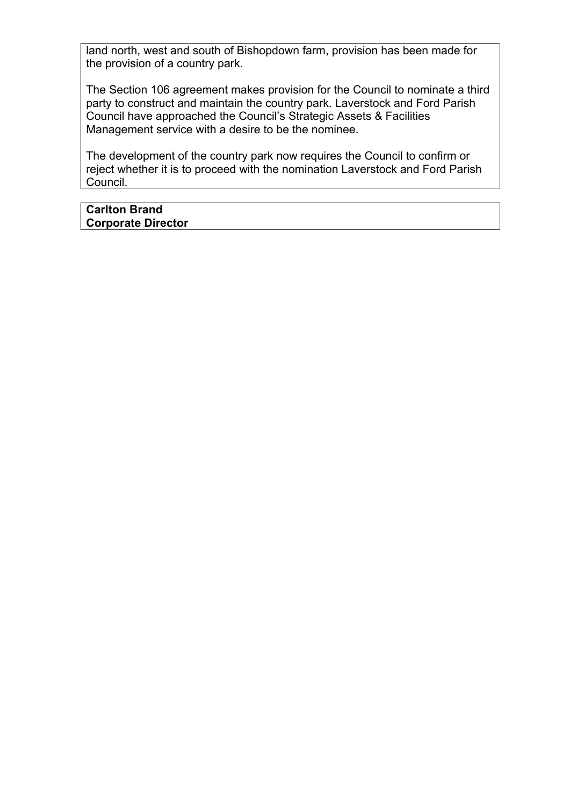land north, west and south of Bishopdown farm, provision has been made for the provision of a country park.

The Section 106 agreement makes provision for the Council to nominate a third party to construct and maintain the country park. Laverstock and Ford Parish Council have approached the Council's Strategic Assets & Facilities Management service with a desire to be the nominee.

The development of the country park now requires the Council to confirm or reject whether it is to proceed with the nomination Laverstock and Ford Parish Council.

### **Carlton Brand Corporate Director**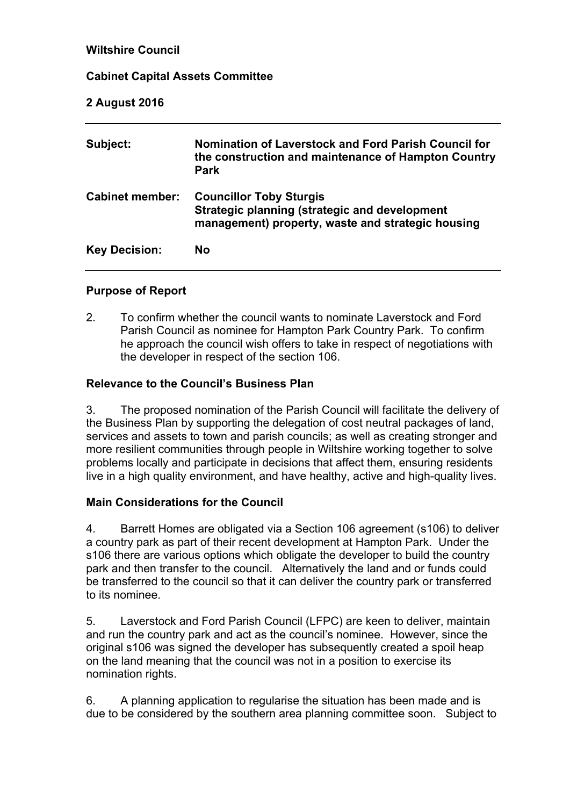# **Wiltshire Council**

# **Cabinet Capital Assets Committee**

# **2 August 2016**

| Subject:               | Nomination of Laverstock and Ford Parish Council for<br>the construction and maintenance of Hampton Country<br><b>Park</b>           |
|------------------------|--------------------------------------------------------------------------------------------------------------------------------------|
| <b>Cabinet member:</b> | <b>Councillor Toby Sturgis</b><br>Strategic planning (strategic and development<br>management) property, waste and strategic housing |
| <b>Key Decision:</b>   | <b>No</b>                                                                                                                            |

## **Purpose of Report**

2. To confirm whether the council wants to nominate Laverstock and Ford Parish Council as nominee for Hampton Park Country Park. To confirm he approach the council wish offers to take in respect of negotiations with the developer in respect of the section 106.

# **Relevance to the Council's Business Plan**

3. The proposed nomination of the Parish Council will facilitate the delivery of the Business Plan by supporting the delegation of cost neutral packages of land, services and assets to town and parish councils; as well as creating stronger and more resilient communities through people in Wiltshire working together to solve problems locally and participate in decisions that affect them, ensuring residents live in a high quality environment, and have healthy, active and high-quality lives.

## **Main Considerations for the Council**

4. Barrett Homes are obligated via a Section 106 agreement (s106) to deliver a country park as part of their recent development at Hampton Park. Under the s106 there are various options which obligate the developer to build the country park and then transfer to the council. Alternatively the land and or funds could be transferred to the council so that it can deliver the country park or transferred to its nominee.

5. Laverstock and Ford Parish Council (LFPC) are keen to deliver, maintain and run the country park and act as the council's nominee. However, since the original s106 was signed the developer has subsequently created a spoil heap on the land meaning that the council was not in a position to exercise its nomination rights.

6. A planning application to regularise the situation has been made and is due to be considered by the southern area planning committee soon. Subject to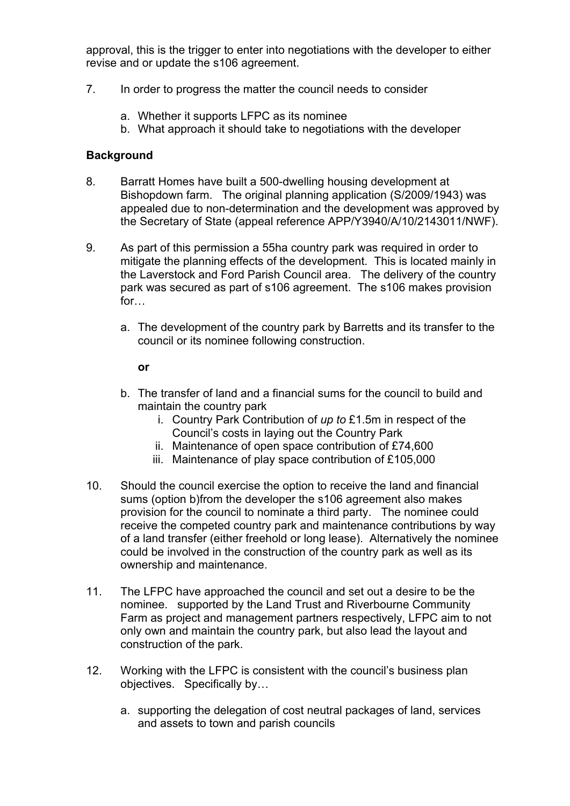approval, this is the trigger to enter into negotiations with the developer to either revise and or update the s106 agreement.

- 7. In order to progress the matter the council needs to consider
	- a. Whether it supports LFPC as its nominee
	- b. What approach it should take to negotiations with the developer

### **Background**

- 8. Barratt Homes have built a 500-dwelling housing development at Bishopdown farm. The original planning application (S/2009/1943) was appealed due to non-determination and the development was approved by the Secretary of State (appeal reference APP/Y3940/A/10/2143011/NWF).
- 9. As part of this permission a 55ha country park was required in order to mitigate the planning effects of the development. This is located mainly in the Laverstock and Ford Parish Council area. The delivery of the country park was secured as part of s106 agreement. The s106 makes provision for…
	- a. The development of the country park by Barretts and its transfer to the council or its nominee following construction.

#### **or**

- b. The transfer of land and a financial sums for the council to build and maintain the country park
	- i. Country Park Contribution of *up to* £1.5m in respect of the Council's costs in laying out the Country Park
	- ii. Maintenance of open space contribution of £74,600
	- iii. Maintenance of play space contribution of £105,000
- 10. Should the council exercise the option to receive the land and financial sums (option b)from the developer the s106 agreement also makes provision for the council to nominate a third party. The nominee could receive the competed country park and maintenance contributions by way of a land transfer (either freehold or long lease). Alternatively the nominee could be involved in the construction of the country park as well as its ownership and maintenance.
- 11. The LFPC have approached the council and set out a desire to be the nominee. supported by the Land Trust and Riverbourne Community Farm as project and management partners respectively, LFPC aim to not only own and maintain the country park, but also lead the layout and construction of the park.
- 12. Working with the LFPC is consistent with the council's business plan objectives. Specifically by…
	- a. supporting the delegation of cost neutral packages of land, services and assets to town and parish councils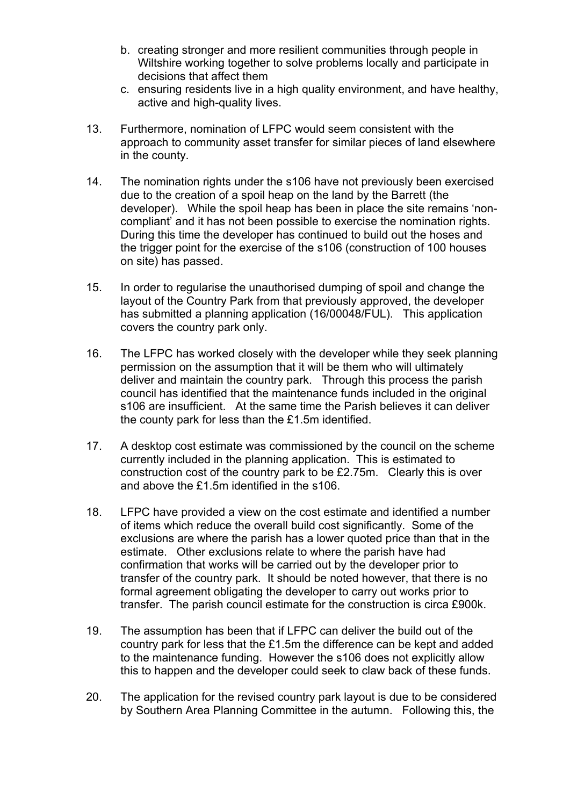- b. creating stronger and more resilient communities through people in Wiltshire working together to solve problems locally and participate in decisions that affect them
- c. ensuring residents live in a high quality environment, and have healthy, active and high-quality lives.
- 13. Furthermore, nomination of LFPC would seem consistent with the approach to community asset transfer for similar pieces of land elsewhere in the county.
- 14. The nomination rights under the s106 have not previously been exercised due to the creation of a spoil heap on the land by the Barrett (the developer). While the spoil heap has been in place the site remains 'noncompliant' and it has not been possible to exercise the nomination rights. During this time the developer has continued to build out the hoses and the trigger point for the exercise of the s106 (construction of 100 houses on site) has passed.
- 15. In order to regularise the unauthorised dumping of spoil and change the layout of the Country Park from that previously approved, the developer has submitted a planning application (16/00048/FUL). This application covers the country park only.
- 16. The LFPC has worked closely with the developer while they seek planning permission on the assumption that it will be them who will ultimately deliver and maintain the country park. Through this process the parish council has identified that the maintenance funds included in the original s106 are insufficient. At the same time the Parish believes it can deliver the county park for less than the £1.5m identified.
- 17. A desktop cost estimate was commissioned by the council on the scheme currently included in the planning application. This is estimated to construction cost of the country park to be £2.75m. Clearly this is over and above the £1.5m identified in the s106.
- 18. LFPC have provided a view on the cost estimate and identified a number of items which reduce the overall build cost significantly. Some of the exclusions are where the parish has a lower quoted price than that in the estimate. Other exclusions relate to where the parish have had confirmation that works will be carried out by the developer prior to transfer of the country park. It should be noted however, that there is no formal agreement obligating the developer to carry out works prior to transfer. The parish council estimate for the construction is circa £900k.
- 19. The assumption has been that if LFPC can deliver the build out of the country park for less that the £1.5m the difference can be kept and added to the maintenance funding. However the s106 does not explicitly allow this to happen and the developer could seek to claw back of these funds.
- 20. The application for the revised country park layout is due to be considered by Southern Area Planning Committee in the autumn. Following this, the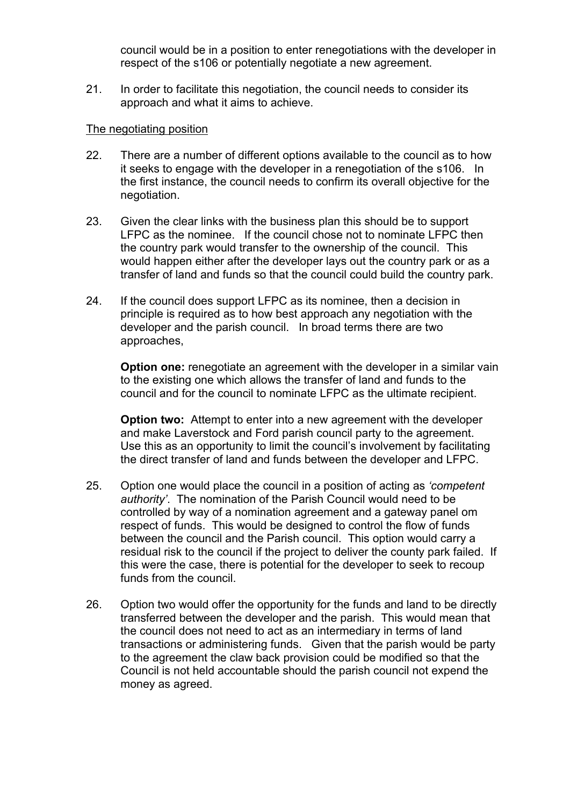council would be in a position to enter renegotiations with the developer in respect of the s106 or potentially negotiate a new agreement.

21. In order to facilitate this negotiation, the council needs to consider its approach and what it aims to achieve.

#### The negotiating position

- 22. There are a number of different options available to the council as to how it seeks to engage with the developer in a renegotiation of the s106. In the first instance, the council needs to confirm its overall objective for the negotiation.
- 23. Given the clear links with the business plan this should be to support LFPC as the nominee. If the council chose not to nominate LFPC then the country park would transfer to the ownership of the council. This would happen either after the developer lays out the country park or as a transfer of land and funds so that the council could build the country park.
- 24. If the council does support LFPC as its nominee, then a decision in principle is required as to how best approach any negotiation with the developer and the parish council. In broad terms there are two approaches,

**Option one:** renegotiate an agreement with the developer in a similar vain to the existing one which allows the transfer of land and funds to the council and for the council to nominate LFPC as the ultimate recipient.

**Option two:** Attempt to enter into a new agreement with the developer and make Laverstock and Ford parish council party to the agreement. Use this as an opportunity to limit the council's involvement by facilitating the direct transfer of land and funds between the developer and LFPC.

- 25. Option one would place the council in a position of acting as *'competent authority'*. The nomination of the Parish Council would need to be controlled by way of a nomination agreement and a gateway panel om respect of funds. This would be designed to control the flow of funds between the council and the Parish council. This option would carry a residual risk to the council if the project to deliver the county park failed. If this were the case, there is potential for the developer to seek to recoup funds from the council.
- 26. Option two would offer the opportunity for the funds and land to be directly transferred between the developer and the parish. This would mean that the council does not need to act as an intermediary in terms of land transactions or administering funds. Given that the parish would be party to the agreement the claw back provision could be modified so that the Council is not held accountable should the parish council not expend the money as agreed.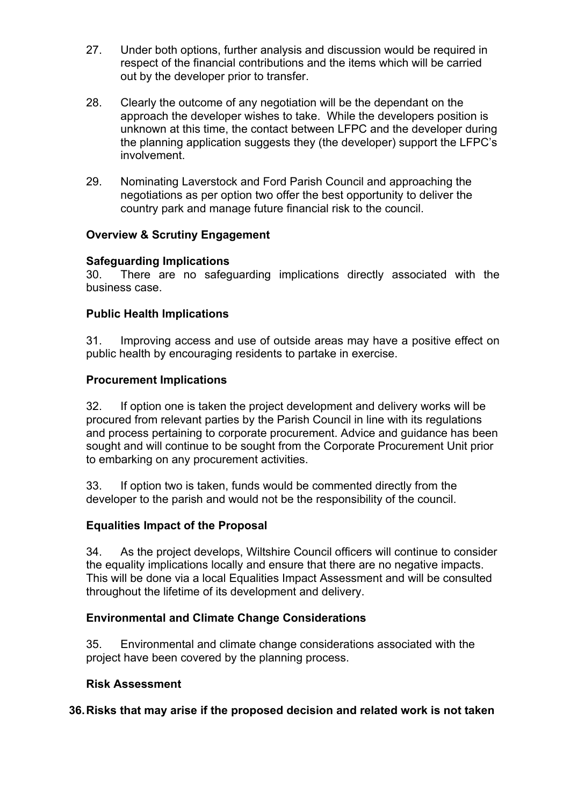- 27. Under both options, further analysis and discussion would be required in respect of the financial contributions and the items which will be carried out by the developer prior to transfer.
- 28. Clearly the outcome of any negotiation will be the dependant on the approach the developer wishes to take. While the developers position is unknown at this time, the contact between LFPC and the developer during the planning application suggests they (the developer) support the LFPC's involvement.
- 29. Nominating Laverstock and Ford Parish Council and approaching the negotiations as per option two offer the best opportunity to deliver the country park and manage future financial risk to the council.

# **Overview & Scrutiny Engagement**

# **Safeguarding Implications**

30. There are no safeguarding implications directly associated with the business case.

# **Public Health Implications**

31. Improving access and use of outside areas may have a positive effect on public health by encouraging residents to partake in exercise.

# **Procurement Implications**

32. If option one is taken the project development and delivery works will be procured from relevant parties by the Parish Council in line with its regulations and process pertaining to corporate procurement. Advice and guidance has been sought and will continue to be sought from the Corporate Procurement Unit prior to embarking on any procurement activities.

33. If option two is taken, funds would be commented directly from the developer to the parish and would not be the responsibility of the council.

## **Equalities Impact of the Proposal**

34. As the project develops, Wiltshire Council officers will continue to consider the equality implications locally and ensure that there are no negative impacts. This will be done via a local Equalities Impact Assessment and will be consulted throughout the lifetime of its development and delivery.

## **Environmental and Climate Change Considerations**

35. Environmental and climate change considerations associated with the project have been covered by the planning process.

## **Risk Assessment**

## **36.Risks that may arise if the proposed decision and related work is not taken**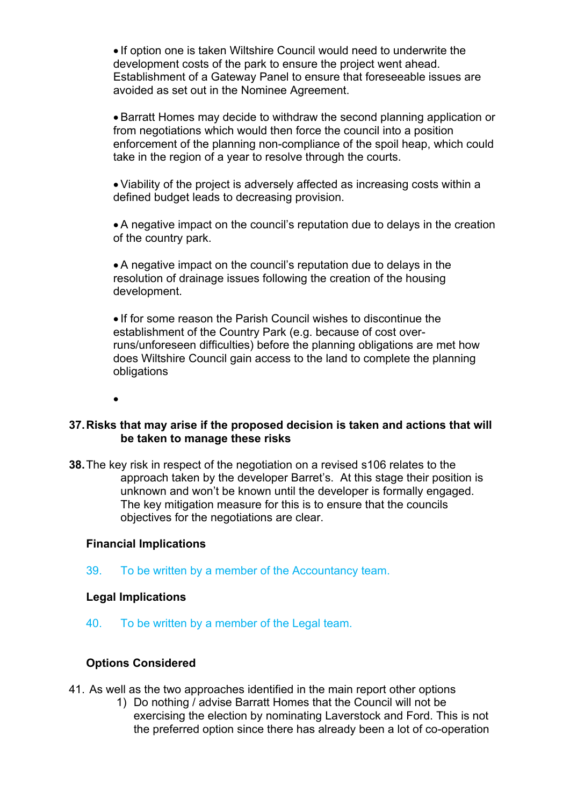• If option one is taken Wiltshire Council would need to underwrite the development costs of the park to ensure the project went ahead. Establishment of a Gateway Panel to ensure that foreseeable issues are avoided as set out in the Nominee Agreement.

 Barratt Homes may decide to withdraw the second planning application or from negotiations which would then force the council into a position enforcement of the planning non-compliance of the spoil heap, which could take in the region of a year to resolve through the courts.

 Viability of the project is adversely affected as increasing costs within a defined budget leads to decreasing provision.

 A negative impact on the council's reputation due to delays in the creation of the country park.

 A negative impact on the council's reputation due to delays in the resolution of drainage issues following the creation of the housing development.

 If for some reason the Parish Council wishes to discontinue the establishment of the Country Park (e.g. because of cost overruns/unforeseen difficulties) before the planning obligations are met how does Wiltshire Council gain access to the land to complete the planning obligations

 $\bullet$ 

### **37.Risks that may arise if the proposed decision is taken and actions that will be taken to manage these risks**

**38.**The key risk in respect of the negotiation on a revised s106 relates to the approach taken by the developer Barret's. At this stage their position is unknown and won't be known until the developer is formally engaged. The key mitigation measure for this is to ensure that the councils objectives for the negotiations are clear.

#### **Financial Implications**

39. To be written by a member of the Accountancy team.

#### **Legal Implications**

40. To be written by a member of the Legal team.

#### **Options Considered**

- 41. As well as the two approaches identified in the main report other options
	- 1) Do nothing / advise Barratt Homes that the Council will not be exercising the election by nominating Laverstock and Ford. This is not the preferred option since there has already been a lot of co-operation